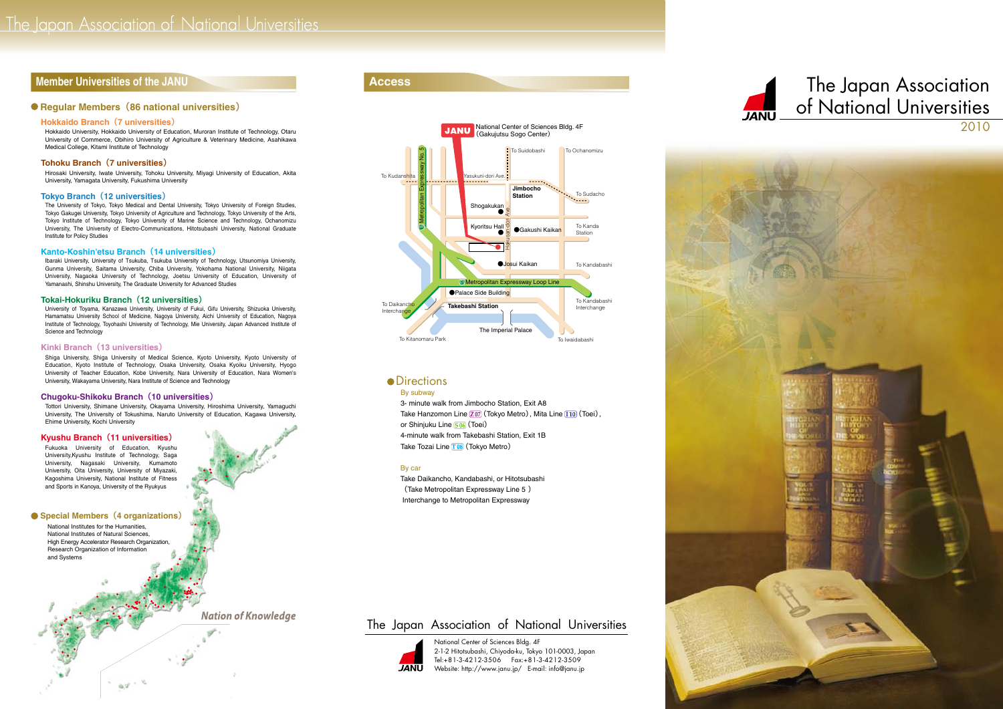# **The official Member Universities of the JANU CONSUMING STATE OF THE OCCUPACITY ACCESS**

# **Regular Members (86 national universities)**

## Hokkaido Branch (7 universities)

Hokkaido University, Hokkaido University of Education, Muroran Institute of Technology, Otaru University of Commerce, Obihiro University of Agriculture & Veterinary Medicine, Asahikawa Medical College, Kitami Institute of Technology<br>**Tohoku Branch (7 universities)** 

Hirosaki University, Iwate University, Tohoku University, Miyagi University of Education, Akita University, Yamagata University, Fukushima University

## **Tokyo Branch (12 universities)**

The University of Tokyo, Tokyo Medical and Dental University, Tokyo University of Foreign Studies, Tokyo Gakugei University, Tokyo University of Agriculture and Technology, Tokyo University of the Arts, Tokyo Institute of Technology. Tokyo University of Marine Science and Technology. Ochanomizu University, The University of Electro-Communications, Hitotsubashi University, National Graduate Institute for Policy Studies

## **Kanto-Koshin'etsu Branch (14 universities)**

Ibaraki University, University of Tsukuba, Tsukuba University of Technology, Utsunomiya University, Gunma University, Saitama University, Chiba University, Yokohama National University, Niigata University, Nagaoka University of Technology, Joetsu University of Education, University of Yamanashi, Shinshu University, The Graduate University for Advanced Studies

## **Tokai-Hokuriku Branch (12 universities)**

University of Toyama, Kanazawa University, University of Fukui, Gifu University, Shizuoka University, Hamamatsu University School of Medicine, Nagoya University, Aichi University of Education, Nagoya Institute of Technology, Toyohashi University of Technology, Mie University, Japan Advanced Institute of Science and Technology

## Kinki Branch (13 universities)

Shiga University, Shiga University of Medical Science, Kyoto University, Kyoto University of Education, Kyoto Institute of Technology, Osaka University, Osaka Kyoiku University, Hyogo University of Teacher Education, Kobe University, Nara University of Education, Nara Women's University, Wakayama University, Nara Institute of Science and Technology

## **Chugoku-Shikoku Branch (10 universities)**

Tottori University, Shimane University, Okayama University, Hiroshima University, Yamaguchi University, The University of Tokushima, Naruto University of Education, Kagawa University,

# Ehime University, Kochi University<br>**Kyushu Branch (11 universities)**

Fukuoka University of Education, Kyushu University, Kyushu Institute of Technology, Saga University, Nagasaki University, Kumamoto University, Oita University, University of Mivazaki. Kagoshima University, National Institute of Fitness and Sports in Kanoya, University of the Ryukyus

## **Special Members (4 organizations)**

National Institutes for the Humanities, National Institutes of Natural Sciences,<br>High Energy Accelerator Research Organization. Research Organization of Information and Systems

 $\phi_{\mathbf{r}}\phi^{\mathbf{r}}=\psi_{\mathbf{r}}$ 

**Nation of Knowledge** 



# **•** Directions

By subway

3- minute walk from Jimbocho Station. Exit A8 Take Hanzomon Line 207 (Tokyo Metro), Mita Line [110] (Toei), or Shinjuku Line <mark>S06</mark> (Toei) 4-minute walk from Takebashi Station, Exit 1B Take Tozai Line 108 (Tokyo Metro)

### By car

Take Daikancho, Kandabashi, or Hitotsubashi (Take Metropolitan Expressway Line 5) Interchange to Metropolitan Expressway

# The Japan Association of National Universities



National Center of Sciences Bldg. 4F 2-1-2 Hitotsubashi, Chiyoda-ku, Tokyo 101-0003, Japan Tel: +81-3-4212-3506 Fax: +81-3-4212-3509 Website: http://www.janu.jp/ E-mail: info@janu.jp







# For the JANU **Access CONSTRUCTER ACCESS CONSTRUCTER THE SECTION** of National Universities 2010